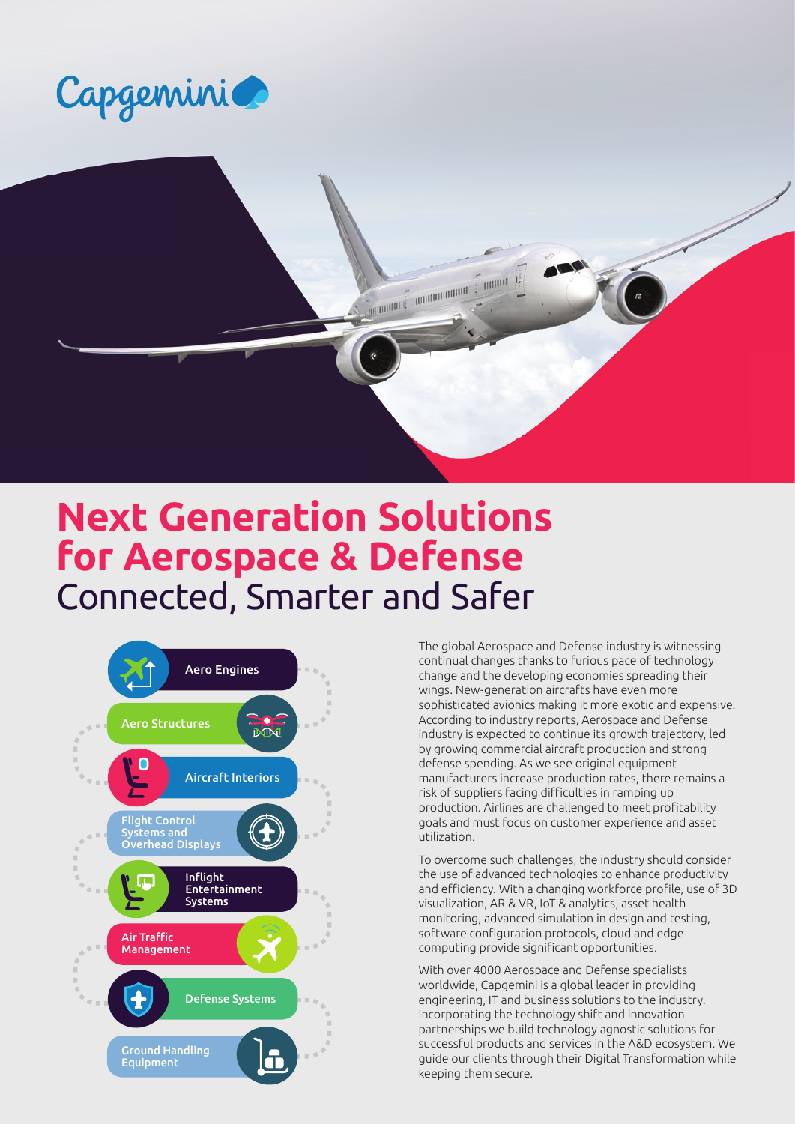



# **Next Generation Solutions for Aerospace & Defense** Connected, Smarter and Safer



The global Aerospace and Defense industry is witnessing continual changes thanks to furious pace of technology change and the developing economies spreading their wings. New-generation aircrafts have even more sophisticated avionics making it more exotic and expensive. According to industry reports, Aerospace and Defense industry is expected to continue its growth trajectory, led by growing commercial aircraft production and strong defense spending. As we see original equipment manufacturers increase production rates, there remains a risk of suppliers facing difficulties in ramping up production. Airlines are challenged to meet profitability goals and must focus on customer experience and asset utilization.

To overcome such challenges, the industry should consider the use of advanced technologies to enhance productivity and efficiency. With a changing workforce profile, use of 3D visualization, AR & VR, IoT & analytics, asset health monitoring, advanced simulation in design and testing, software configuration protocols, cloud and edge computing provide significant opportunities.

With over 4000 Aerospace and Defense specialists worldwide, Capgemini is a global leader in providing engineering, IT and business solutions to the industry. Incorporating the technology shift and innovation partnerships we build technology agnostic solutions for successful products and services in the A&D ecosystem. We guide our clients through their Digital Transformation while keeping them secure.